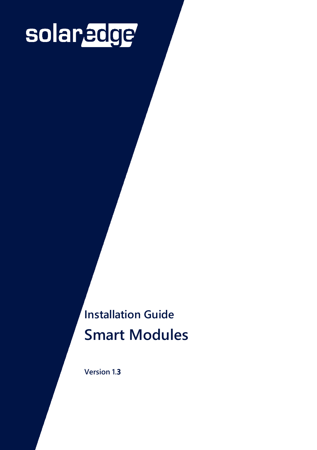# solaredge

**Installation Guide Smart Modules**

**Version 1.3**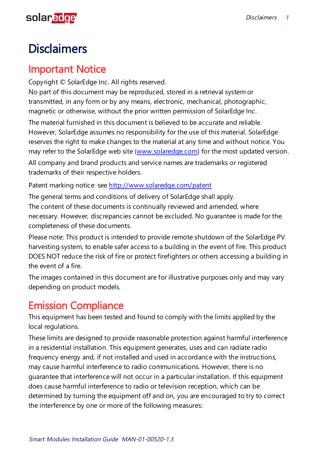# <span id="page-1-0"></span>solaredge

# **Disclaimers**

### <span id="page-1-1"></span>Important Notice

Copyright © SolarEdge Inc. All rights reserved.

No part of this document may be reproduced, stored in a retrieval system or transmitted, in any form or by any means, electronic, mechanical, photographic, magnetic or otherwise, without the prior written permission of SolarEdge Inc.

The material furnished in this document is believed to be accurate and reliable. However, SolarEdge assumes no responsibility for the use of this material. SolarEdge reserves the right to make changes to the material at any time and without notice. You may refer to the SolarEdge web site (www.solaredge.com) for the most updated version.

All company and brand products and service names are trademarks or registered trademarks of their respective holders.

Patent marking notice: see http://www.solaredge.com/patent

The general terms and conditions of delivery of SolarEdge shall apply. The content of these documents is continually reviewed and amended, where necessary. However, discrepancies cannot be excluded. No guarantee is made for the completeness of these documents.

Please note: This product is intended to provide remote shutdown of the SolarEdge PV harvesting system, to enable safer access to a building in the event of fire. This product DOES NOT reduce the risk of fire or protect firefighters or others accessing a building in the event of a fire.

The images contained in this document are for illustrative purposes only and may vary depending on product models.

# <span id="page-1-2"></span>Emission Compliance

This equipment has been tested and found to comply with the limits applied by the local regulations.

These limits are designed to provide reasonable protection against harmful interference in a residential installation. This equipment generates, uses and can radiate radio frequency energy and, if not installed and used in accordance with the instructions, may cause harmful interference to radio communications. However, there is no guarantee that interference will not occur in a particular installation. If this equipment does cause harmful interference to radio or television reception, which can be determined by turning the equipment off and on, you are encouraged to try to correct the interference by one or more of the following measures: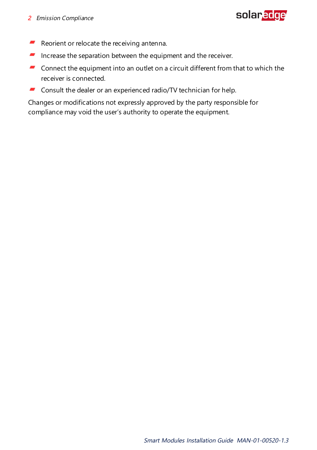

- $\blacksquare$  Reorient or relocate the receiving antenna.
- $\blacksquare$  Increase the separation between the equipment and the receiver.
- **Connect the equipment into an outlet on a circuit different from that to which the** receiver is connected.
- **Consult the dealer or an experienced radio/TV technician for help.**

Changes or modifications not expressly approved by the party responsible for compliance may void the user's authority to operate the equipment.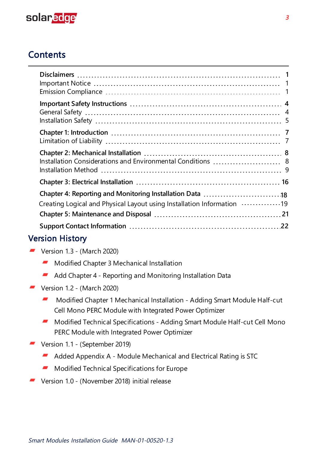

### **Contents**

| Installation Considerations and Environmental Conditions  8            |  |
|------------------------------------------------------------------------|--|
|                                                                        |  |
| Creating Logical and Physical Layout using Installation Information 19 |  |
|                                                                        |  |

#### Version History

- $\blacksquare$  Version 1.3 (March 2020)
	- **Modified Chapter 3 Mechanical Installation**
	- $\blacksquare$  Add Chapter 4 Reporting and Monitoring Installation Data
- $\blacksquare$  Version 1.2 (March 2020)
	- Modified Chapter 1 Mechanical Installation Adding Smart Module Half-cut , Cell Mono PERC Module with Integrated Power Optimizer
	- Modified Technical Specifications Adding Smart Module Half-cut Cell Mono PERC Module with Integrated Power Optimizer
- Version 1.1 (September 2019)
	- Added Appendix A Module Mechanical and Electrical Rating is STC -
	- . Modified Technical Specifications for Europe
- Version 1.0 (November 2018) initial release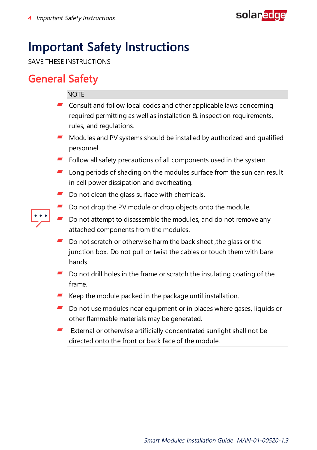

# <span id="page-4-0"></span>Important Safety Instructions

<span id="page-4-1"></span>SAVE THESE INSTRUCTIONS

### General Safety

#### **NOTE**

- $\blacksquare$  Consult and follow local codes and other applicable laws concerning required permitting as well as installation & inspection requirements, rules, and regulations.
- **Modules and PV systems should be installed by authorized and qualified** personnel.
- Follow all safety precautions of all components used in the system.
- Long periods of shading on the modules surface from the sun can result in cell power dissipation and overheating.
- $\blacksquare$  Do not clean the glass surface with chemicals.
- Do not drop the PV module or drop objects onto the module.
- Do not attempt to disassemble the modules, and do not remove any attached components from the modules.
- Do not scratch or otherwise harm the back sheet ,the glass or the junction box. Do not pull or twist the cables or touch them with bare hands.
- Do not drill holes in the frame or scratch the insulating coating of the frame.
- $\blacksquare$  Keep the module packed in the package until installation.
- Do not use modules near equipment or in places where gases, liquids or other flammable materials may be generated.
- External or otherwise artificially concentrated sunlight shall not be directed onto the front or back face of the module.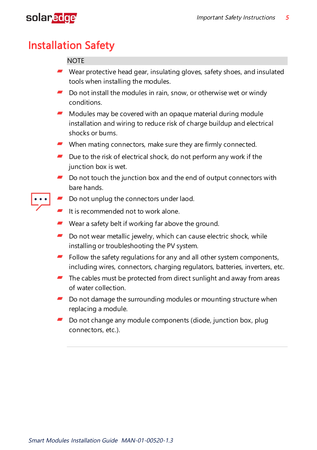

# <span id="page-5-0"></span>Installation Safety

#### **NOTE**

- $\blacksquare$  Wear protective head gear, insulating gloves, safety shoes, and insulated tools when installing the modules.
- $\blacksquare$  Do not install the modules in rain, snow, or otherwise wet or windy conditions.
- $\blacksquare$  Modules may be covered with an opaque material during module installation and wiring to reduce risk of charge buildup and electrical shocks or burns.
- $\blacksquare$  When mating connectors, make sure they are firmly connected.
- $\blacksquare$  Due to the risk of electrical shock, do not perform any work if the junction box is wet.
- $\blacksquare$  Do not touch the junction box and the end of output connectors with bare hands.
- Do not unplug the connectors under laod.
	- $\blacksquare$  It is recommended not to work alone.
	- Wear a safety belt if working far above the ground.
	- Do not wear metallic jewelry, which can cause electric shock, while installing or troubleshooting the PV system.
	- $\blacksquare$  Follow the safety regulations for any and all other system components, including wires, connectors, charging regulators, batteries, inverters, etc.
	- $\blacksquare$  The cables must be protected from direct sunlight and away from areas of water collection.
	- $\blacksquare$  Do not damage the surrounding modules or mounting structure when replacing a module.
	- $\blacksquare$  Do not change any module components (diode, junction box, plug connectors, etc.).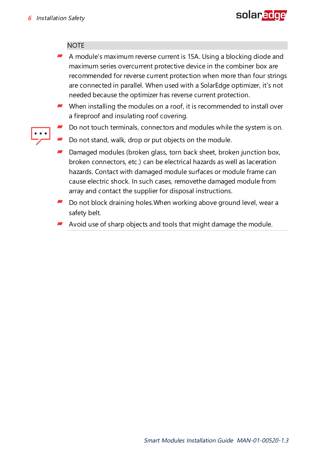

#### **NOTE**

- $\blacksquare$  A module's maximum reverse current is 15A. Using a blocking diode and maximum series overcurrent protective device in the combiner box are recommended for reverse current protection when more than four strings are connected in parallel. When used with a SolarEdge optimizer, it's not needed because the optimizer has reverse current protection.
- $\blacksquare$  When installing the modules on a roof, it is recommended to install over a fireproof and insulating roof covering.
- Do not touch terminals, connectors and modules while the system is on.
- Do not stand, walk, drop or put objects on the module.
- Damaged modules (broken glass, torn back sheet, broken junction box, broken connectors, etc.) can be electrical hazards as well as laceration hazards. Contact with damaged module surfaces or module frame can cause electric shock. In such cases, removethe damaged module from array and contact the supplier for disposal instructions.
- Do not block draining holes.When working above ground level, wear a safety belt.
- $\blacksquare$  Avoid use of sharp objects and tools that might damage the module.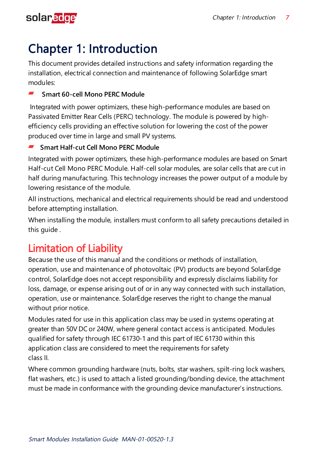<span id="page-7-0"></span>

# Chapter 1: Introduction

This document provides detailed instructions and safety information regarding the installation, electrical connection and maintenance of following SolarEdge smart modules:

#### **Smart 60-cell Mono PERC Module**

Integrated with power optimizers, these high-performance modules are based on Passivated Emitter Rear Cells (PERC) technology. The module is powered by highefficiency cells providing an effective solution for lowering the cost of the power produced over time in large and small PV systems.

#### **Smart Half-cut Cell Mono PERC Module**

Integrated with power optimizers, these high-performance modules are based on Smart Half-cut Cell Mono PERC Module. Half-cell solar modules, are solar cells that are cut in half during manufacturing. This technology increases the power output of a module by lowering resistance of the module.

All instructions, mechanical and electrical requirements should be read and understood before attempting installation.

When installing the module, installers must conform to all safety precautions detailed in this guide .

# <span id="page-7-1"></span>Limitation of Liability

Because the use of this manual and the conditions or methods of installation, operation, use and maintenance of photovoltaic (PV) products are beyond SolarEdge control, SolarEdge does not accept responsibility and expressly disclaims liability for loss, damage, or expense arising out of or in any way connected with such installation, operation, use or maintenance. SolarEdge reserves the right to change the manual without prior notice.

Modules rated for use in this application class may be used in systems operating at greater than 50V DC or 240W, where general contact access is anticipated. Modules qualified for safety through IEC 61730-1 and this part of IEC 61730 within this application class are considered to meet the requirements for safety class II.

Where common grounding hardware (nuts, bolts, star washers, spilt-ring lock washers, flat washers, etc.) is used to attach a listed grounding/bonding device, the attachment must be made in conformance with the grounding device manufacturer's instructions.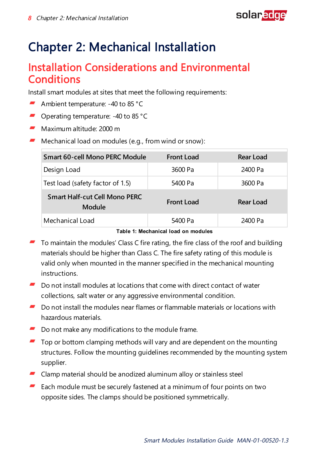

# <span id="page-8-1"></span><span id="page-8-0"></span>Chapter 2: Mechanical Installation

### Installation Considerations and Environmental **Conditions**

Install smart modules at sites that meet the following requirements:

- Ambient temperature: -40 to 85 °C
- Operating temperature: -40 to 85 °C
- Maximum altitude: 2000 m
- $\blacksquare$  Mechanical load on modules (e.g., from wind or snow):

| Smart 60-cell Mono PERC Module                 | <b>Front Load</b> | Rear Load |
|------------------------------------------------|-------------------|-----------|
| Design Load                                    | 3600 Pa           | 2400 Pa   |
| Test load (safety factor of 1.5)               | 5400 Pa           | 3600 Pa   |
| <b>Smart Half-cut Cell Mono PERC</b><br>Module | <b>Front Load</b> | Rear Load |
| Mechanical Load                                | 5400 Pa           | 2400 Pa   |

**Table 1: Mechanical load on modules**

- To maintain the modules' Class C fire rating, the fire class of the roof and building materials should be higher than Class C. The fire safety rating of this module is valid only when mounted in the manner specified in the mechanical mounting instructions.
- $\blacksquare$  Do not install modules at locations that come with direct contact of water collections, salt water or any aggressive environmental condition.
- $\blacksquare$  Do not install the modules near flames or flammable materials or locations with hazardous materials.
- Do not make any modifications to the module frame.
- Top or bottom clamping methods will vary and are dependent on the mounting structures. Follow the mounting guidelines recommended by the mounting system supplier.
- Clamp material should be anodized aluminum alloy or stainless steel
- . Each module must be securely fastened at a minimum of four points on two opposite sides. The clamps should be positioned symmetrically.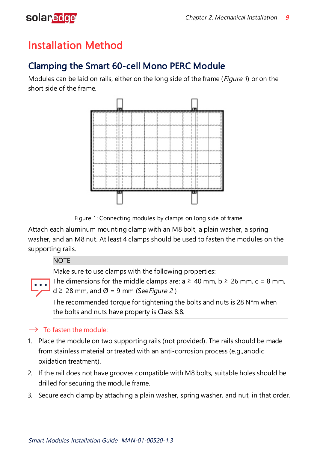

# <span id="page-9-0"></span>Installation Method

### Clamping the Smart 60-cell Mono PERC Module

Modules can be laid on rails, either on the long side of the frame (*[Figure](#page-9-1) 1*) or on the short side of the frame.



Figure 1: Connecting modules by clamps on long side of frame

<span id="page-9-1"></span>Attach each aluminum mounting clamp with an M8 bolt, a plain washer, a spring washer, and an M8 nut. At least 4 clamps should be used to fasten the modules on the supporting rails.

#### **NOTE**

Make sure to use clamps with the following properties:

 $d \geq 28$  mm, and Ø = 9 mm (See Figure 2)

The recommended torque for tightening the bolts and nuts is 28 N\*m when the bolts and nuts have property is Class 8.8.

The dimensions for the middle clamps are:  $a \ge 40$  mm,  $b \ge 26$  mm,  $c = 8$  mm,

#### $\rightarrow$  To fasten the module:

- 1. Place the module on two supporting rails (not provided). The rails should be made from stainless material or treated with an anti-corrosion process (e.g.,anodic oxidation treatment).
- 2. If the rail does not have grooves compatible with M8 bolts, suitable holes should be drilled for securing the module frame.
- 3. Secure each clamp by attaching a plain washer, spring washer, and nut, in that order.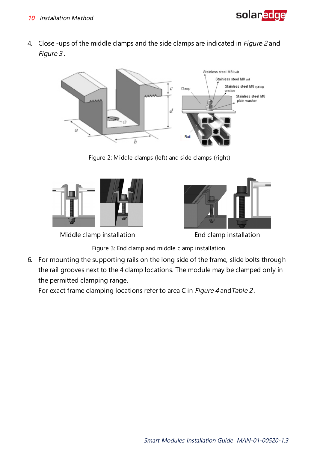

4. Close -ups of the middle clamps and the side clamps are indicated in *Figure 2* and Figure 3.



Figure 2: Middle clamps (left) and side clamps (right)



Middle clamp installation End clamp installation



Figure 3: End clamp and middle clamp installation

6. For mounting the supporting rails on the long side of the frame, slide bolts through the rail grooves next to the 4 clamp locations. The module may be clamped only in the permitted clamping range.

For exact frame clamping locations refer to area C in Figure 4 and Table 2.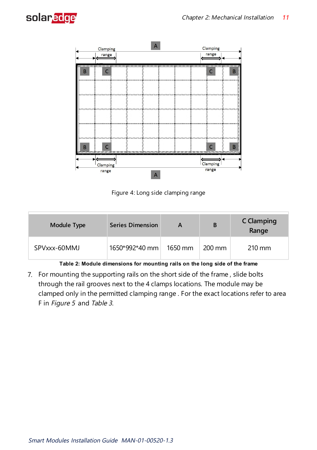



Figure 4: Long side clamping range

| Module Type  | <b>Series Dimension</b> | A       | B                | C Clamping<br>Range |
|--------------|-------------------------|---------|------------------|---------------------|
| SPVxxx-60MMJ | 1650*992*40 mm          | 1650 mm | $200 \text{ mm}$ | $210 \text{ mm}$    |

**Table 2: Module dimensions for mounting rails on the long side of the frame**

7. For mounting the supporting rails on the short side of the frame , slide bolts through the rail grooves next to the 4 clamps locations. The module may be clamped only in the permitted clamping range . For the exact locations refer to area F in Figure <sup>5</sup> and Table <sup>3</sup>.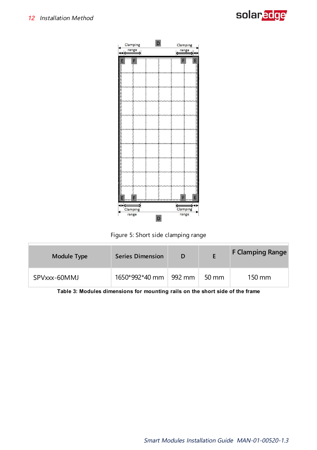



Figure 5: Short side clamping range

| Module Type  | <b>Series Dimension</b> | D      |                 | <b>F Clamping Range</b> |
|--------------|-------------------------|--------|-----------------|-------------------------|
| SPVxxx-60MMJ | 1650*992*40 mm          | 992 mm | $50 \text{ mm}$ | 150 mm                  |

**Table 3: Modules dimensions for mounting rails on the short side of the frame**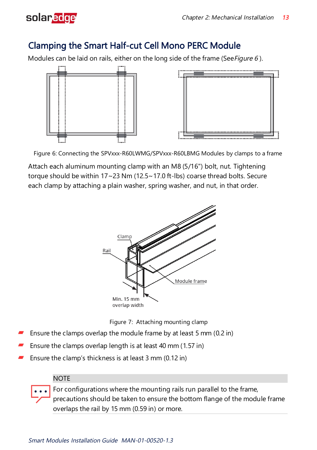

### Clamping the Smart Half-cut Cell Mono PERC Module

Modules can be laid on rails, either on the long side of the frame (See Figure 6).



Figure 6: Connecting the SPVxxx-R60LWMG/SPVxxx-R60LBMG Modules by clamps to a frame

Attach each aluminum mounting clamp with an M8 (5/16") bolt, nut. Tightening torque should be within 17~23 Nm (12.5~17.0 ft-lbs) coarse thread bolts. Secure each clamp by attaching a plain washer, spring washer, and nut, in that order.





- Ensure the clamps overlap the module frame by at least 5 mm (0.2 in)
- Ensure the clamps overlap length is at least 40 mm (1.57 in)
- Ensure the clamp's thickness is at least 3 mm (0.12 in)

#### **NOTE**

For configurations where the mounting rails run parallel to the frame,

precautions should be taken to ensure the bottom flange of the module frame overlaps the rail by 15 mm (0.59 in) or more.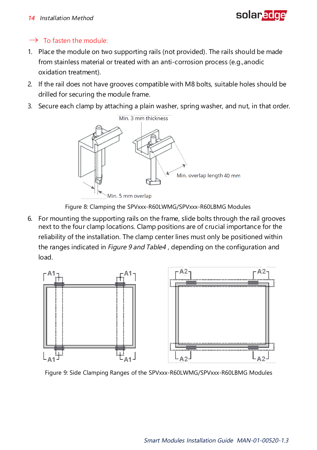#### <sup>14</sup> Installation Method



#### $\rightarrow$  To fasten the module:

- 1. Place the module on two supporting rails (not provided). The rails should be made from stainless material or treated with an anti-corrosion process (e.g.,anodic oxidation treatment).
- 2. If the rail does not have grooves compatible with M8 bolts, suitable holes should be drilled for securing the module frame.
- 3. Secure each clamp by attaching a plain washer, spring washer, and nut, in that order.



Figure 8: Clamping the SPVxxx-R60LWMG/SPVxxx-R60LBMG Modules

6. For mounting the supporting rails on the frame, slide bolts through the rail grooves next to the four clamp locations. Clamp positions are of crucial importance for the reliability of the installation. The clamp center lines must only be positioned within the ranges indicated in *Figure 9 and Table4*, depending on the configuration and load.



Figure 9: Side Clamping Ranges of the SPVxxx-R60LWMG/SPVxxx-R60LBMG Modules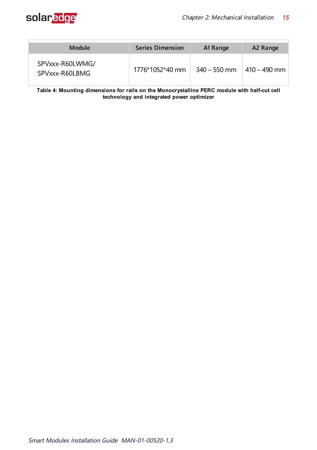

| Module                            | <b>Series Dimension</b> | A1 Range       | A2 Range        |
|-----------------------------------|-------------------------|----------------|-----------------|
| SPVxxx-R60LWMG/<br>SPVxxx-R60LBMG | 1776*1052*40 mm         | $340 - 550$ mm | $1410 - 490$ mm |

**Table 4: Mounting dimensions for rails on the Monocrystalline PERC module with half-cut cell technology and integrated power optimizer**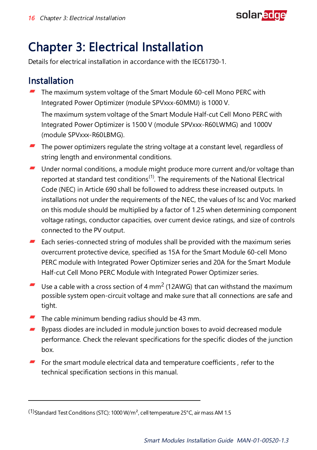

# <span id="page-16-0"></span>Chapter 3: Electrical Installation

Details for electrical installation in accordance with the IEC61730-1.

### Installation

The maximum system voltage of the Smart Module 60-cell Mono PERC with Integrated Power Optimizer (module SPVxxx-60MMJ) is 1000 V.

The maximum system voltage of the Smart Module Half-cut Cell Mono PERC with Integrated Power Optimizer is 1500 V (module SPVxxx-R60LWMG) and 1000V (module SPVxxx-R60LBMG).

- $\blacksquare$  The power optimizers regulate the string voltage at a constant level, regardless of string length and environmental conditions.
- $\blacksquare$  Under normal conditions, a module might produce more current and/or voltage than reported at standard test conditions<sup>(1)</sup>. The requirements of the National Electrical Code (NEC) in Article 690 shall be followed to address these increased outputs. In installations not under the requirements of the NEC, the values of Isc and Voc marked on this module should be multiplied by a factor of 1.25 when determining component voltage ratings, conductor capacities, over current device ratings, and size of controls connected to the PV output.
- $\blacksquare$  Each series-connected string of modules shall be provided with the maximum series overcurrent protective device, specified as 15A for the Smart Module 60-cell Mono PERC module with Integrated Power Optimizer series and 20A for the Smart Module Half-cut Cell Mono PERC Module with Integrated Power Optimizer series.
- € Use a cable with a cross section of 4  $mm^2$  (12AWG) that can withstand the maximum possible system open-circuit voltage and make sure that all connections are safe and tight.
- The cable minimum bending radius should be 43 mm.
- æ. Bypass diodes are included in module junction boxes to avoid decreased module performance. Check the relevant specifications for the specific diodes of the junction hox
- $\blacksquare$  For the smart module electrical data and temperature coefficients, refer to the technical specification sections in this manual.

<sup>(1)</sup>Standard Test Conditions (STC): 1000 W/m², cell temperature 25°C, air mass AM 1.5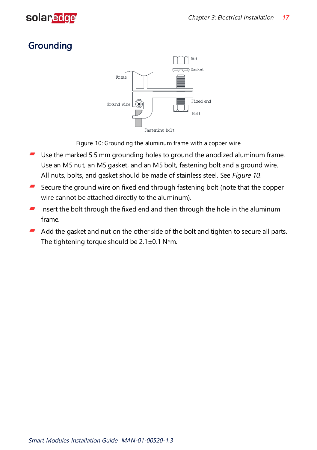

### **Grounding**



Figure 10: Grounding the aluminum frame with a copper wire

- <span id="page-17-0"></span>Use the marked 5.5 mm grounding holes to ground the anodized aluminum frame. Use an M5 nut, an M5 gasket, and an M5 bolt, fastening bolt and a ground wire. All nuts, bolts, and gasket should be made of stainless steel. See [Figure](#page-17-0) <sup>10</sup>.
- Secure the ground wire on fixed end through fastening bolt (note that the copper wire cannot be attached directly to the aluminum).
- Insert the bolt through the fixed end and then through the hole in the aluminum frame.
- Add the gasket and nut on the other side of the bolt and tighten to secure all parts. The tightening torque should be  $2.1 \pm 0.1$  N\*m.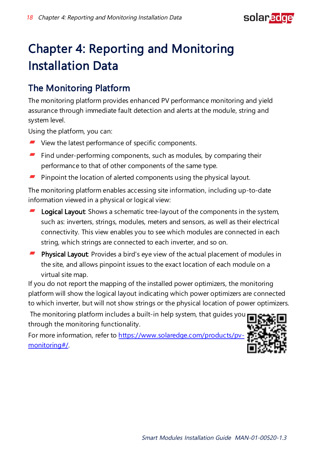

# Chapter 4: Reporting and Monitoring Installation Data

### The Monitoring Platform

The monitoring platform provides enhanced PV performance monitoring and yield assurance through immediate fault detection and alerts at the module, string and system level.

Using the platform, you can:

- View the latest performance of specific components.
- $\blacksquare$  Find under-performing components, such as modules, by comparing their performance to that of other components of the same type.
- Pinpoint the location of alerted components using the physical layout.

The monitoring platform enables accessing site information, including up-to-date information viewed in a physical or logical view:

- Logical Layout: Shows a schematic tree-layout of the components in the system, such as: inverters, strings, modules, meters and sensors, as well as their electrical connectivity. This view enables you to see which modules are connected in each string, which strings are connected to each inverter, and so on.
- **Physical Layout:** Provides a bird's eye view of the actual placement of modules in the site, and allows pinpoint issues to the exact location of each module on a virtual site map.

If you do not report the mapping of the installed power optimizers, the monitoring platform will show the logical layout indicating which power optimizers are connected to which inverter, but will not show strings or the physical location of power optimizers.

The monitoring platform includes a built-in help system, that guides you through the monitoring functionality.

For more information, refer to [https://www.solaredge.com/products/pv](https://www.solaredge.com/products/pv-monitoring#/)[monitoring#/.](https://www.solaredge.com/products/pv-monitoring#/)

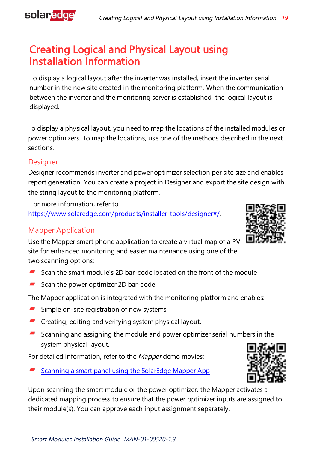

### Installation Information C r e a t i n g L o g ic al a n d P hysical Layout using

To display a logical layout after the inverter was installed, insert the inverter serial number in the new site created in the monitoring platform. When the communication between the inverter and the monitoring server is established, the logical layout is displayed.

To display a physical layout, you need to map the locations of the installed modules or power optimizers. To map the locations, use one of the methods described in the next sections.

#### **Designer**

Designer recommends inverter and power optimizer selection per site size and enables report generation. You can create a project in Designer and export the site design with the string layout to the monitoring platform.

For more information, refer to <https://www.solaredge.com/products/installer-tools/designer#/>.

#### Mapper Application

Use the Mapper smart phone application to create a virtual map of a PV site for enhanced monitoring and easier maintenance using one of the two scanning options:

- Scan the smart module's 2D bar-code located on the front of the module
- $\blacksquare$  Scan the power optimizer 2D bar-code

The Mapper application is integrated with the monitoring platform and enables:

- Simple on-site registration of new systems.
- **E** Creating, editing and verifying system physical layout.
- Scanning and assigning the module and power optimizer serial numbers in the ₩. system physical layout.

For detailed information, refer to the Mapper demo movies:

Scanning a smart panel using the [SolarEdge](https://www.youtube.com/watch?v=LPOKxc68hBE)) Mapper App

Upon scanning the smart module or the power optimizer, the Mapper activates a dedicated mapping process to ensure that the power optimizer inputs are assigned to their module(s). You can approve each input assignment separately.



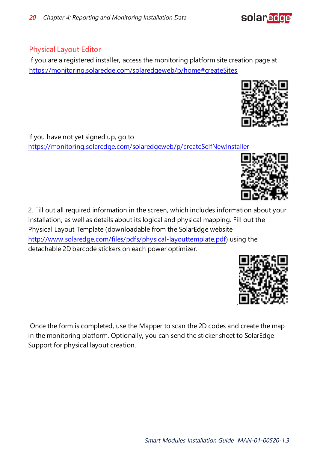#### Physical Layout Editor

If you are a registered installer, access the monitoring platform site creation page at https://monitoring.solaredge.com/solaredgeweb/p/home#createSites

If you have not yet signed up, go to <https://monitoring.solaredge.com/solaredgeweb/p/createSelfNewInstaller>

2. Fill out all required information in the screen, which includes information about your installation, as well as details about its logical and physical mapping. Fill out the Physical Layout Template (downloadable from the SolarEdge website <http://www.solaredge.com/files/pdfs/physical-layouttemplate.pdf>) using the detachable 2D barcode stickers on each power optimizer.

Once the form is completed, use the Mapper to scan the 2D codes and create the map in the monitoring platform. Optionally, you can send the sticker sheet to SolarEdge Support for physical layout creation.





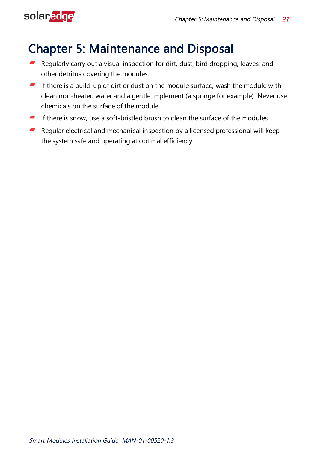# <span id="page-21-0"></span>solaredge

# Chapter 5: Maintenance and Disposal

- Regularly carry out a visual inspection for dirt, dust, bird dropping, leaves, and other detritus covering the modules.
- If there is a build-up of dirt or dust on the module surface, wash the module with clean non-heated water and a gentle implement (a sponge for example). Never use chemicals on the surface of the module.
- $\blacksquare$  If there is snow, use a soft-bristled brush to clean the surface of the modules.
- $\blacksquare$  Regular electrical and mechanical inspection by a licensed professional will keep the system safe and operating at optimal efficiency.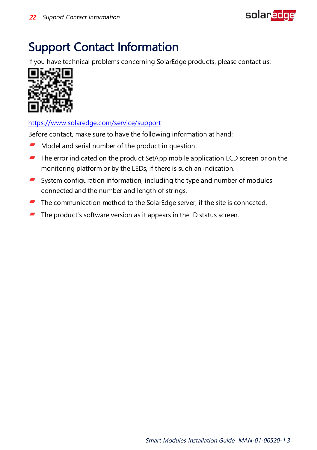

# <span id="page-22-0"></span>Support Contact Information

If you have technical problems concerning SolarEdge products, please contact us:



#### https://www.solaredge.com/service/support

Before contact, make sure to have the following information at hand:

- Model and serial number of the product in question. -
- ₩. The error indicated on the product SetApp mobile application LCD screen or on the monitoring platform or by the LEDs, if there is such an indication.
- $\blacksquare$  System configuration information, including the type and number of modules connected and the number and length of strings.
- The communication method to the SolarEdge server, if the site is connected.
- The product's software version as it appears in the ID status screen. .